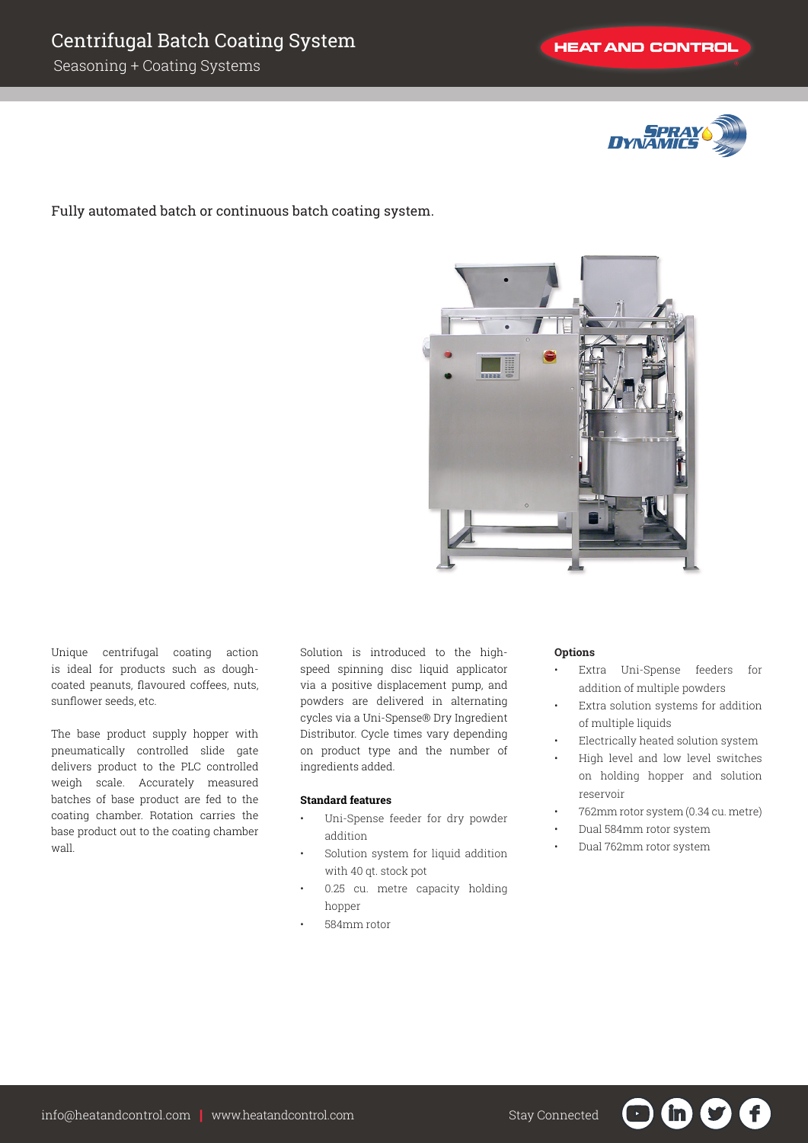

Fully automated batch or continuous batch coating system.



Unique centrifugal coating action is ideal for products such as doughcoated peanuts, flavoured coffees, nuts, sunflower seeds, etc.

The base product supply hopper with pneumatically controlled slide gate delivers product to the PLC controlled weigh scale. Accurately measured batches of base product are fed to the coating chamber. Rotation carries the base product out to the coating chamber wall.

Solution is introduced to the highspeed spinning disc liquid applicator via a positive displacement pump, and powders are delivered in alternating cycles via a Uni-Spense® Dry Ingredient Distributor. Cycle times vary depending on product type and the number of ingredients added.

## **Standard features**

- Uni-Spense feeder for dry powder addition
- Solution system for liquid addition with 40 qt. stock pot
- 0.25 cu. metre capacity holding hopper
- 584mm rotor

## **Options**

- Extra Uni-Spense feeders for addition of multiple powders
- Extra solution systems for addition of multiple liquids
- Electrically heated solution system
- High level and low level switches on holding hopper and solution reservoir
- 762mm rotor system (0.34 cu. metre)

in in

- Dual 584mm rotor system
- Dual 762mm rotor system